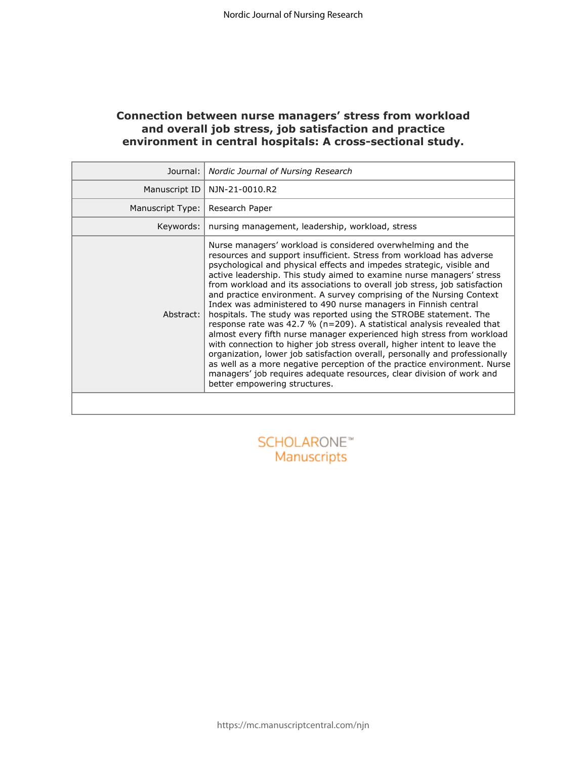## **Connection between nurse managers' stress from workload and overall job stress, job satisfaction and practice environment in central hospitals: A cross-sectional study.**

| Journal:         | Nordic Journal of Nursing Research                                                                                                                                                                                                                                                                                                                                                                                                                                                                                                                                                                                                                                                                                                                                                                                                                                                                                                                                                                                                                                                           |
|------------------|----------------------------------------------------------------------------------------------------------------------------------------------------------------------------------------------------------------------------------------------------------------------------------------------------------------------------------------------------------------------------------------------------------------------------------------------------------------------------------------------------------------------------------------------------------------------------------------------------------------------------------------------------------------------------------------------------------------------------------------------------------------------------------------------------------------------------------------------------------------------------------------------------------------------------------------------------------------------------------------------------------------------------------------------------------------------------------------------|
| Manuscript ID    | NJN-21-0010.R2                                                                                                                                                                                                                                                                                                                                                                                                                                                                                                                                                                                                                                                                                                                                                                                                                                                                                                                                                                                                                                                                               |
| Manuscript Type: | Research Paper                                                                                                                                                                                                                                                                                                                                                                                                                                                                                                                                                                                                                                                                                                                                                                                                                                                                                                                                                                                                                                                                               |
| Keywords:        | nursing management, leadership, workload, stress                                                                                                                                                                                                                                                                                                                                                                                                                                                                                                                                                                                                                                                                                                                                                                                                                                                                                                                                                                                                                                             |
| Abstract:        | Nurse managers' workload is considered overwhelming and the<br>resources and support insufficient. Stress from workload has adverse<br>psychological and physical effects and impedes strategic, visible and<br>active leadership. This study aimed to examine nurse managers' stress<br>from workload and its associations to overall job stress, job satisfaction<br>and practice environment. A survey comprising of the Nursing Context<br>Index was administered to 490 nurse managers in Finnish central<br>hospitals. The study was reported using the STROBE statement. The<br>response rate was 42.7 % ( $n=209$ ). A statistical analysis revealed that<br>almost every fifth nurse manager experienced high stress from workload<br>with connection to higher job stress overall, higher intent to leave the<br>organization, lower job satisfaction overall, personally and professionally<br>as well as a more negative perception of the practice environment. Nurse<br>managers' job requires adequate resources, clear division of work and<br>better empowering structures. |
|                  |                                                                                                                                                                                                                                                                                                                                                                                                                                                                                                                                                                                                                                                                                                                                                                                                                                                                                                                                                                                                                                                                                              |
|                  | SCHOLARONE <sup>®</sup><br>Manuscripts                                                                                                                                                                                                                                                                                                                                                                                                                                                                                                                                                                                                                                                                                                                                                                                                                                                                                                                                                                                                                                                       |

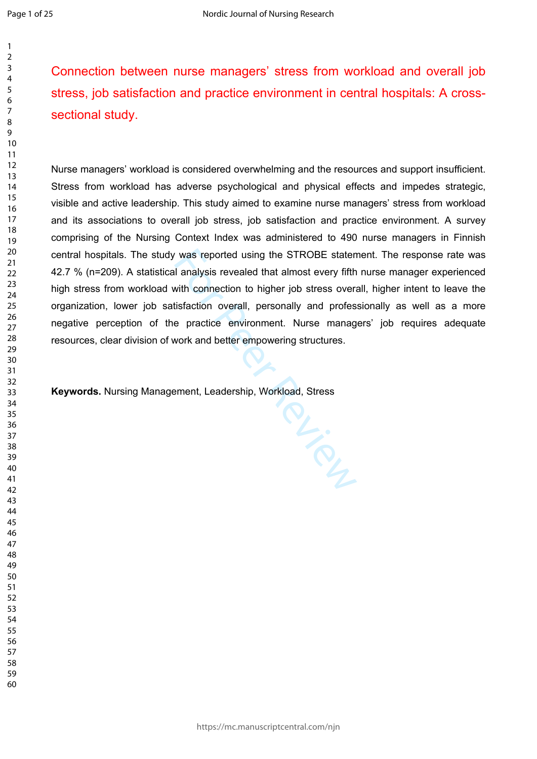Connection between nurse managers' stress from workload and overall job stress, job satisfaction and practice environment in central hospitals: A crosssectional study.

Nurse managers' workload is considered overwhelming and the resources and support insufficient. Stress from workload has adverse psychological and physical effects and impedes strategic, visible and active leadership. This study aimed to examine nurse managers' stress from workload and its associations to overall job stress, job satisfaction and practice environment. A survey comprising of the Nursing Context Index was administered to 490 nurse managers in Finnish central hospitals. The study was reported using the STROBE statement. The response rate was 42.7 % (n=209). A statistical analysis revealed that almost every fifth nurse manager experienced high stress from workload with connection to higher job stress overall, higher intent to leave the organization, lower job satisfaction overall, personally and professionally as well as a more negative perception of the practice environment. Nurse managers' job requires adequate resources, clear division of work and better empowering structures.

PL-SCR

**Keywords.** Nursing Management, Leadership, Workload, Stress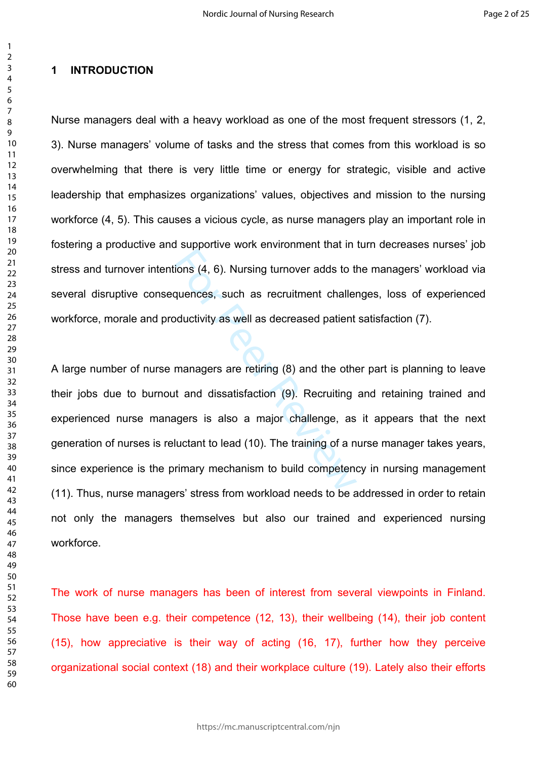## **1 INTRODUCTION**

Nurse managers deal with a heavy workload as one of the most frequent stressors (1, 2, 3). Nurse managers' volume of tasks and the stress that comes from this workload is so overwhelming that there is very little time or energy for strategic, visible and active leadership that emphasizes organizations' values, objectives and mission to the nursing workforce (4, 5). This causes a vicious cycle, as nurse managers play an important role in fostering a productive and supportive work environment that in turn decreases nurses' job stress and turnover intentions (4, 6). Nursing turnover adds to the managers' workload via several disruptive consequences, such as recruitment challenges, loss of experienced workforce, morale and productivity as well as decreased patient satisfaction (7).

For Previous (4, 6). Nursing turnover adds to the quences, such as recruitment challer<br>pductivity as well as decreased patient<br>managers are retiring (8) and the other<br>than dissatisfaction (9). Recruiting<br>agers is also a ma A large number of nurse managers are retiring (8) and the other part is planning to leave their jobs due to burnout and dissatisfaction (9). Recruiting and retaining trained and experienced nurse managers is also a major challenge, as it appears that the next generation of nurses is reluctant to lead (10). The training of a nurse manager takes years, since experience is the primary mechanism to build competency in nursing management (11). Thus, nurse managers' stress from workload needs to be addressed in order to retain not only the managers themselves but also our trained and experienced nursing workforce.

The work of nurse managers has been of interest from several viewpoints in Finland. Those have been e.g. their competence (12, 13), their wellbeing (14), their job content (15), how appreciative is their way of acting (16, 17), further how they perceive organizational social context (18) and their workplace culture (19). Lately also their efforts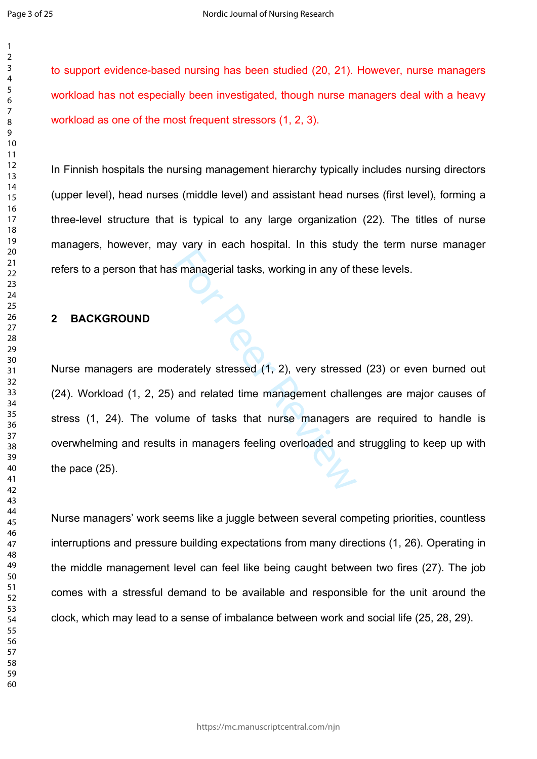$\mathbf{1}$  $\overline{2}$ 

  to support evidence-based nursing has been studied (20, 21). However, nurse managers workload has not especially been investigated, though nurse managers deal with a heavy workload as one of the most frequent stressors (1, 2, 3).

In Finnish hospitals the nursing management hierarchy typically includes nursing directors (upper level), head nurses (middle level) and assistant head nurses (first level), forming a three-level structure that is typical to any large organization (22). The titles of nurse managers, however, may vary in each hospital. In this study the term nurse manager refers to a person that has managerial tasks, working in any of these levels.

## **2 BACKGROUND**

For Peer Review of the Barry<br>Simanagerial tasks, working in any of the Barry<br>derately stressed (1, 2), very stressed<br>and related time management challe<br>time of tasks that nurse managers as<br>in managers feeling overloaded an Nurse managers are moderately stressed (1, 2), very stressed (23) or even burned out (24). Workload (1, 2, 25) and related time management challenges are major causes of stress (1, 24). The volume of tasks that nurse managers are required to handle is overwhelming and results in managers feeling overloaded and struggling to keep up with the pace (25).

Nurse managers' work seems like a juggle between several competing priorities, countless interruptions and pressure building expectations from many directions (1, 26). Operating in the middle management level can feel like being caught between two fires (27). The job comes with a stressful demand to be available and responsible for the unit around the clock, which may lead to a sense of imbalance between work and social life (25, 28, 29).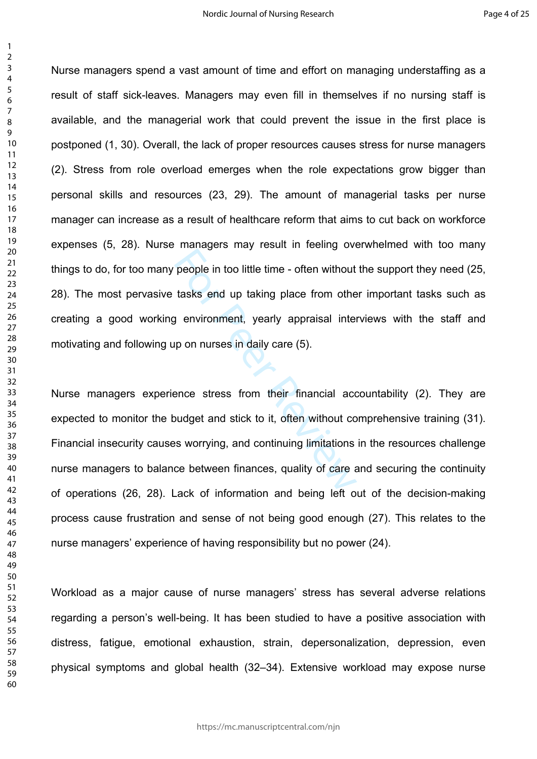people in too little time - often without<br>tasks end up taking place from other<br>p environment, yearly appraisal inter-<br>up on nurses in daily care (5).<br>ence stress from their financial accoudget and stick to it, often withou Nurse managers spend a vast amount of time and effort on managing understaffing as a result of staff sick-leaves. Managers may even fill in themselves if no nursing staff is available, and the managerial work that could prevent the issue in the first place is postponed (1, 30). Overall, the lack of proper resources causes stress for nurse managers (2). Stress from role overload emerges when the role expectations grow bigger than personal skills and resources (23, 29). The amount of managerial tasks per nurse manager can increase as a result of healthcare reform that aims to cut back on workforce expenses (5, 28). Nurse managers may result in feeling overwhelmed with too many things to do, for too many people in too little time - often without the support they need (25, 28). The most pervasive tasks end up taking place from other important tasks such as creating a good working environment, yearly appraisal interviews with the staff and motivating and following up on nurses in daily care (5).

Nurse managers experience stress from their financial accountability (2). They are expected to monitor the budget and stick to it, often without comprehensive training (31). Financial insecurity causes worrying, and continuing limitations in the resources challenge nurse managers to balance between finances, quality of care and securing the continuity of operations (26, 28). Lack of information and being left out of the decision-making process cause frustration and sense of not being good enough (27). This relates to the nurse managers' experience of having responsibility but no power (24).

Workload as a major cause of nurse managers' stress has several adverse relations regarding a person's well-being. It has been studied to have a positive association with distress, fatigue, emotional exhaustion, strain, depersonalization, depression, even physical symptoms and global health (32–34). Extensive workload may expose nurse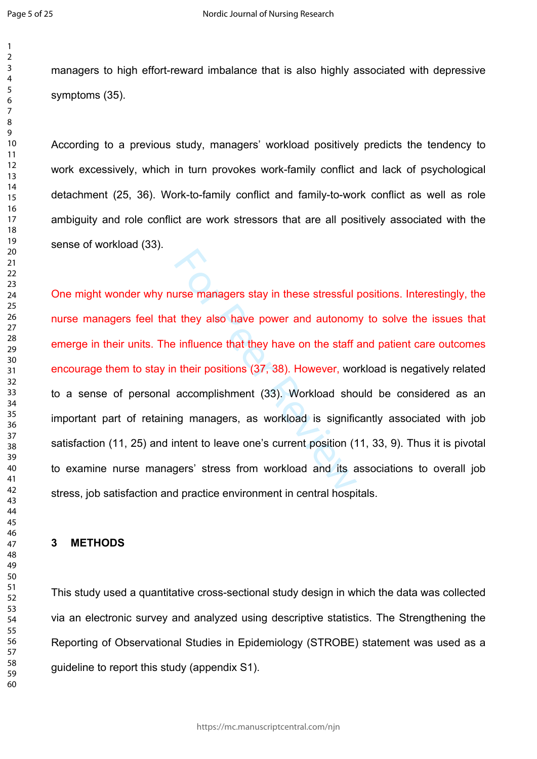$\mathbf{1}$  $\overline{2}$  $\overline{3}$  $\overline{4}$  $\overline{7}$ 

managers to high effort-reward imbalance that is also highly associated with depressive symptoms (35).

According to a previous study, managers' workload positively predicts the tendency to work excessively, which in turn provokes work-family conflict and lack of psychological detachment (25, 36). Work-to-family conflict and family-to-work conflict as well as role ambiguity and role conflict are work stressors that are all positively associated with the sense of workload (33).

The managers stay in these stressful<br>
It they also have power and autonom<br>
Final periods in their positions (37, 38). However, wo<br>
accomplishment (33). Workload sho<br>
Ing managers, as workload is signific<br>
Intent to leave o One might wonder why nurse managers stay in these stressful positions. Interestingly, the nurse managers feel that they also have power and autonomy to solve the issues that emerge in their units. The influence that they have on the staff and patient care outcomes encourage them to stay in their positions (37, 38). However, workload is negatively related to a sense of personal accomplishment (33). Workload should be considered as an important part of retaining managers, as workload is significantly associated with job satisfaction (11, 25) and intent to leave one's current position (11, 33, 9). Thus it is pivotal to examine nurse managers' stress from workload and its associations to overall job stress, job satisfaction and practice environment in central hospitals.

## **3 METHODS**

This study used a quantitative cross-sectional study design in which the data was collected via an electronic survey and analyzed using descriptive statistics. The Strengthening the Reporting of Observational Studies in Epidemiology (STROBE) statement was used as a guideline to report this study (appendix S1).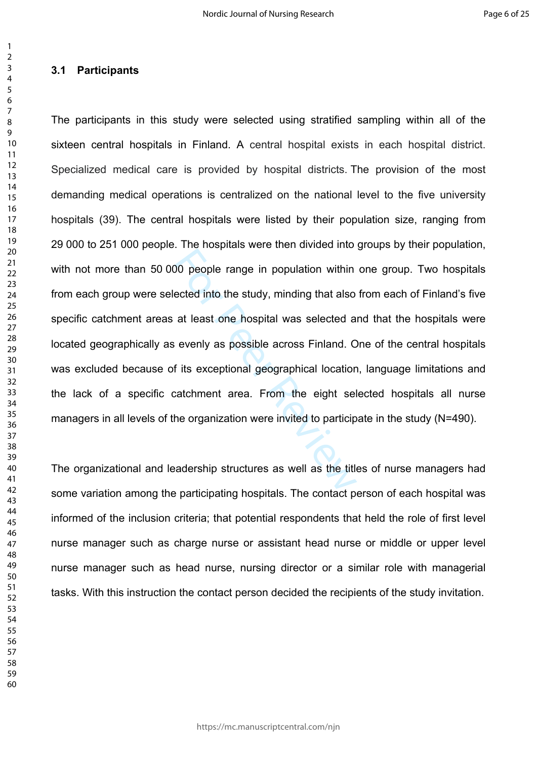## **3.1 Participants**

00 people range in population within<br>ected into the study, minding that also<br>at least one hospital was selected a<br>evenly as possible across Finland. C<br>f its exceptional geographical location<br>catchment area. From the eight The participants in this study were selected using stratified sampling within all of the sixteen central hospitals in Finland. A central hospital exists in each hospital district. Specialized medical care is provided by hospital districts. The provision of the most demanding medical operations is centralized on the national level to the five university hospitals (39). The central hospitals were listed by their population size, ranging from 29 000 to 251 000 people. The hospitals were then divided into groups by their population, with not more than 50 000 people range in population within one group. Two hospitals from each group were selected into the study, minding that also from each of Finland's five specific catchment areas at least one hospital was selected and that the hospitals were located geographically as evenly as possible across Finland. One of the central hospitals was excluded because of its exceptional geographical location, language limitations and the lack of a specific catchment area. From the eight selected hospitals all nurse managers in all levels of the organization were invited to participate in the study (N=490).

The organizational and leadership structures as well as the titles of nurse managers had some variation among the participating hospitals. The contact person of each hospital was informed of the inclusion criteria; that potential respondents that held the role of first level nurse manager such as charge nurse or assistant head nurse or middle or upper level nurse manager such as head nurse, nursing director or a similar role with managerial tasks. With this instruction the contact person decided the recipients of the study invitation.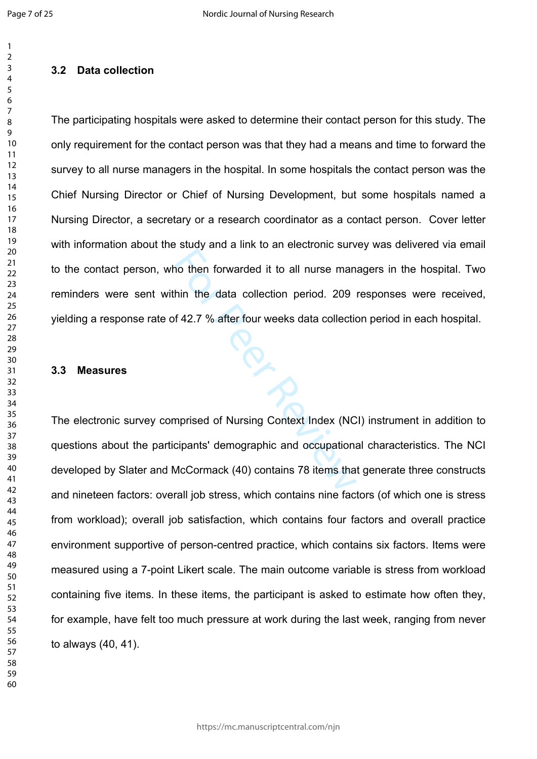$\mathbf{1}$  $\overline{2}$ 

## **3.2 Data collection**

The participating hospitals were asked to determine their contact person for this study. The only requirement for the contact person was that they had a means and time to forward the survey to all nurse managers in the hospital. In some hospitals the contact person was the Chief Nursing Director or Chief of Nursing Development, but some hospitals named a Nursing Director, a secretary or a research coordinator as a contact person. Cover letter with information about the study and a link to an electronic survey was delivered via email to the contact person, who then forwarded it to all nurse managers in the hospital. Two reminders were sent within the data collection period. 209 responses were received, yielding a response rate of 42.7 % after four weeks data collection period in each hospital.

ing Sir

## **3.3 Measures**

The electronic survey comprised of Nursing Context Index (NCI) instrument in addition to questions about the participants' demographic and occupational characteristics. The NCI developed by Slater and McCormack (40) contains 78 items that generate three constructs and nineteen factors: overall job stress, which contains nine factors (of which one is stress from workload); overall job satisfaction, which contains four factors and overall practice environment supportive of person-centred practice, which contains six factors. Items were measured using a 7-point Likert scale. The main outcome variable is stress from workload containing five items. In these items, the participant is asked to estimate how often they, for example, have felt too much pressure at work during the last week, ranging from never to always (40, 41).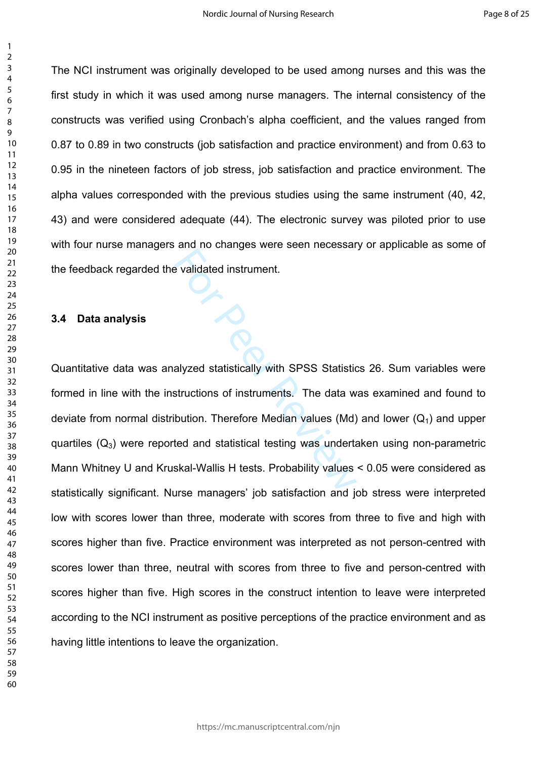The NCI instrument was originally developed to be used among nurses and this was the first study in which it was used among nurse managers. The internal consistency of the constructs was verified using Cronbach's alpha coefficient, and the values ranged from 0.87 to 0.89 in two constructs (job satisfaction and practice environment) and from 0.63 to 0.95 in the nineteen factors of job stress, job satisfaction and practice environment. The alpha values corresponded with the previous studies using the same instrument (40, 42, 43) and were considered adequate (44). The electronic survey was piloted prior to use with four nurse managers and no changes were seen necessary or applicable as some of the feedback regarded the validated instrument.

#### **3.4 Data analysis**

Explidated instrument.<br>
Allyzed statistically with SPSS Statistics<br>
Structions of instruments. The data w<br>
bution. Therefore Median values (Md)<br>
Ated and statistical testing was underta<br>
Skal-Wallis H tests. Probability va Quantitative data was analyzed statistically with SPSS Statistics 26. Sum variables were formed in line with the instructions of instruments. The data was examined and found to deviate from normal distribution. Therefore Median values (Md) and lower  $(Q_1)$  and upper quartiles  $(Q_3)$  were reported and statistical testing was undertaken using non-parametric Mann Whitney U and Kruskal-Wallis H tests. Probability values < 0.05 were considered as statistically significant. Nurse managers' job satisfaction and job stress were interpreted low with scores lower than three, moderate with scores from three to five and high with scores higher than five. Practice environment was interpreted as not person-centred with scores lower than three, neutral with scores from three to five and person-centred with scores higher than five. High scores in the construct intention to leave were interpreted according to the NCI instrument as positive perceptions of the practice environment and as having little intentions to leave the organization.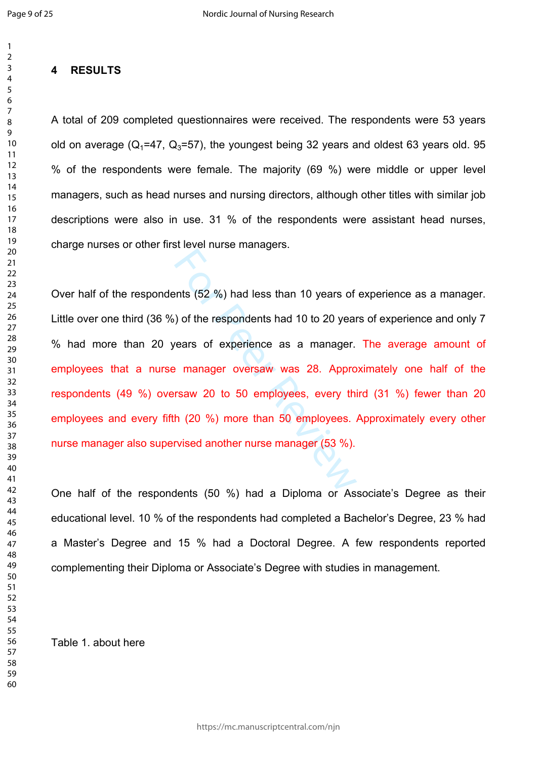$\mathbf{1}$  $\overline{2}$  $\overline{3}$ 

## $\overline{4}$  $\overline{7}$  $\mathsf{Q}$

## **4 RESULTS**

A total of 209 completed questionnaires were received. The respondents were 53 years old on average ( $Q_1$ =47,  $Q_3$ =57), the youngest being 32 years and oldest 63 years old. 95 % of the respondents were female. The majority (69 %) were middle or upper level managers, such as head nurses and nursing directors, although other titles with similar job descriptions were also in use. 31 % of the respondents were assistant head nurses, charge nurses or other first level nurse managers.

ents (52 %) had less than 10 years of<br>
(b) of the respondents had 10 to 20 year<br>
(ears of experience as a manager.<br>
(experience as a manager.<br>
(experience as a manager.<br>
(experience as a manager.<br>
(experience as a manager Over half of the respondents (52 %) had less than 10 years of experience as a manager. Little over one third (36 %) of the respondents had 10 to 20 years of experience and only 7 % had more than 20 years of experience as a manager. The average amount of employees that a nurse manager oversaw was 28. Approximately one half of the respondents (49 %) oversaw 20 to 50 employees, every third (31 %) fewer than 20 employees and every fifth (20 %) more than 50 employees. Approximately every other nurse manager also supervised another nurse manager (53 %).

One half of the respondents (50 %) had a Diploma or Associate's Degree as their educational level. 10 % of the respondents had completed a Bachelor's Degree, 23 % had a Master's Degree and 15 % had a Doctoral Degree. A few respondents reported complementing their Diploma or Associate's Degree with studies in management.

Table 1. about here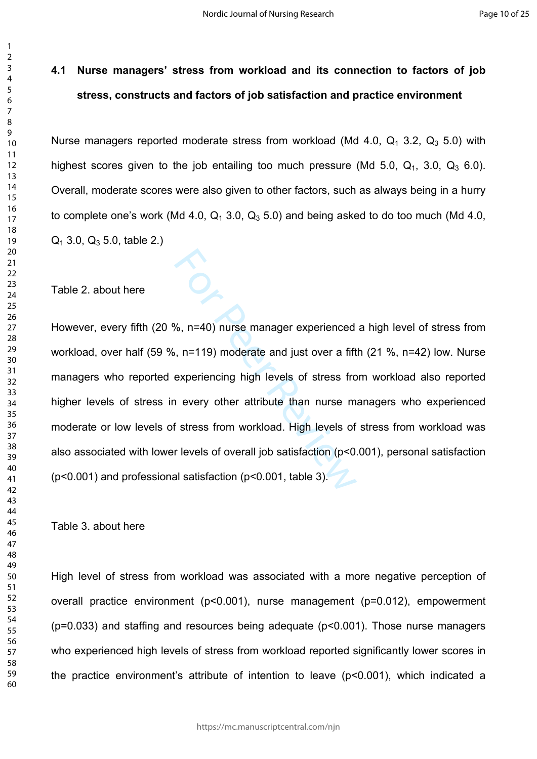# **4.1 Nurse managers' stress from workload and its connection to factors of job stress, constructs and factors of job satisfaction and practice environment**

Nurse managers reported moderate stress from workload (Md 4.0,  $Q_1$  3.2,  $Q_3$  5.0) with highest scores given to the job entailing too much pressure (Md  $5.0$ ,  $Q_1$ ,  $3.0$ ,  $Q_3$  6.0). Overall, moderate scores were also given to other factors, such as always being in a hurry to complete one's work (Md 4.0,  $Q_1$  3.0,  $Q_3$  5.0) and being asked to do too much (Md 4.0,  $Q_1$  3.0,  $Q_3$  5.0, table 2.)

Table 2. about here

%, n=40) nurse manager experienced<br>
, n=119) moderate and just over a fift<br>
experiencing high levels of stress from<br>
every other attribute than nurse m<br>
f stress from workload. High levels of<br>
r levels of overall job sati However, every fifth (20 %, n=40) nurse manager experienced a high level of stress from workload, over half (59 %, n=119) moderate and just over a fifth (21 %, n=42) low. Nurse managers who reported experiencing high levels of stress from workload also reported higher levels of stress in every other attribute than nurse managers who experienced moderate or low levels of stress from workload. High levels of stress from workload was also associated with lower levels of overall job satisfaction (p<0.001), personal satisfaction (p<0.001) and professional satisfaction (p<0.001, table 3).

Table 3. about here

High level of stress from workload was associated with a more negative perception of overall practice environment (p<0.001), nurse management (p=0.012), empowerment (p=0.033) and staffing and resources being adequate (p<0.001). Those nurse managers who experienced high levels of stress from workload reported significantly lower scores in the practice environment's attribute of intention to leave (p<0.001), which indicated a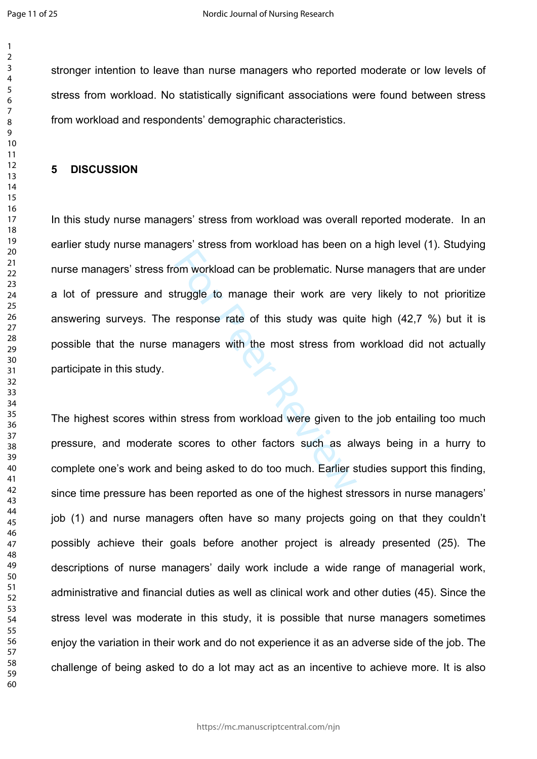$\mathbf{1}$  $\overline{2}$  $\overline{3}$  $\overline{4}$  $\overline{7}$ 

stronger intention to leave than nurse managers who reported moderate or low levels of stress from workload. No statistically significant associations were found between stress from workload and respondents' demographic characteristics.

#### **5 DISCUSSION**

om workload can be problematic. Nurs<br>truggle to manage their work are v<br>response rate of this study was qui<br>managers with the most stress from<br>ananagers with the most stress from<br>a stress from workload were given to<br>scores In this study nurse managers' stress from workload was overall reported moderate. In an earlier study nurse managers' stress from workload has been on a high level (1). Studying nurse managers' stress from workload can be problematic. Nurse managers that are under a lot of pressure and struggle to manage their work are very likely to not prioritize answering surveys. The response rate of this study was quite high (42,7 %) but it is possible that the nurse managers with the most stress from workload did not actually participate in this study.

The highest scores within stress from workload were given to the job entailing too much pressure, and moderate scores to other factors such as always being in a hurry to complete one's work and being asked to do too much. Earlier studies support this finding, since time pressure has been reported as one of the highest stressors in nurse managers' job (1) and nurse managers often have so many projects going on that they couldn't possibly achieve their goals before another project is already presented (25). The descriptions of nurse managers' daily work include a wide range of managerial work, administrative and financial duties as well as clinical work and other duties (45). Since the stress level was moderate in this study, it is possible that nurse managers sometimes enjoy the variation in their work and do not experience it as an adverse side of the job. The challenge of being asked to do a lot may act as an incentive to achieve more. It is also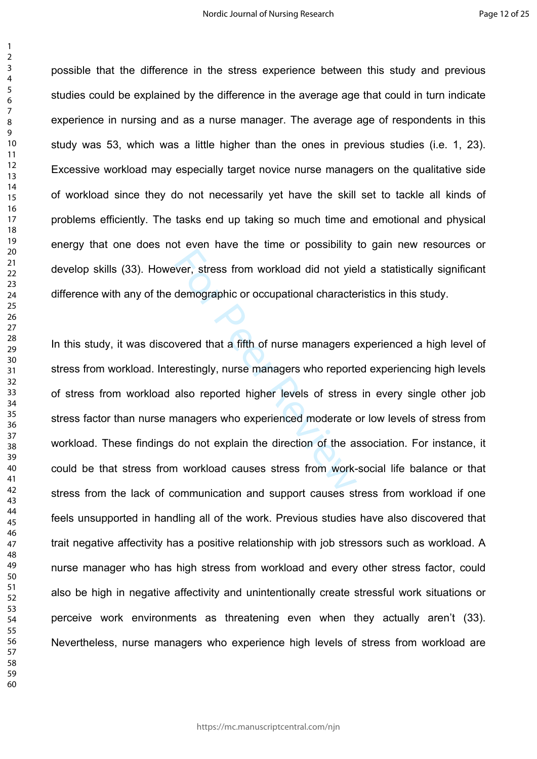possible that the difference in the stress experience between this study and previous studies could be explained by the difference in the average age that could in turn indicate experience in nursing and as a nurse manager. The average age of respondents in this study was 53, which was a little higher than the ones in previous studies (i.e. 1, 23). Excessive workload may especially target novice nurse managers on the qualitative side of workload since they do not necessarily yet have the skill set to tackle all kinds of problems efficiently. The tasks end up taking so much time and emotional and physical energy that one does not even have the time or possibility to gain new resources or develop skills (33). However, stress from workload did not yield a statistically significant difference with any of the demographic or occupational characteristics in this study.

Ever, stress from workload did not yieldemographic or occupational character-<br>Separation of the demographic or occupational character<br>Severed that a fifth of nurse managers  $\epsilon$ <br>Freestingly, nurse managers who reported<br>als In this study, it was discovered that a fifth of nurse managers experienced a high level of stress from workload. Interestingly, nurse managers who reported experiencing high levels of stress from workload also reported higher levels of stress in every single other job stress factor than nurse managers who experienced moderate or low levels of stress from workload. These findings do not explain the direction of the association. For instance, it could be that stress from workload causes stress from work-social life balance or that stress from the lack of communication and support causes stress from workload if one feels unsupported in handling all of the work. Previous studies have also discovered that trait negative affectivity has a positive relationship with job stressors such as workload. A nurse manager who has high stress from workload and every other stress factor, could also be high in negative affectivity and unintentionally create stressful work situations or perceive work environments as threatening even when they actually aren't (33). Nevertheless, nurse managers who experience high levels of stress from workload are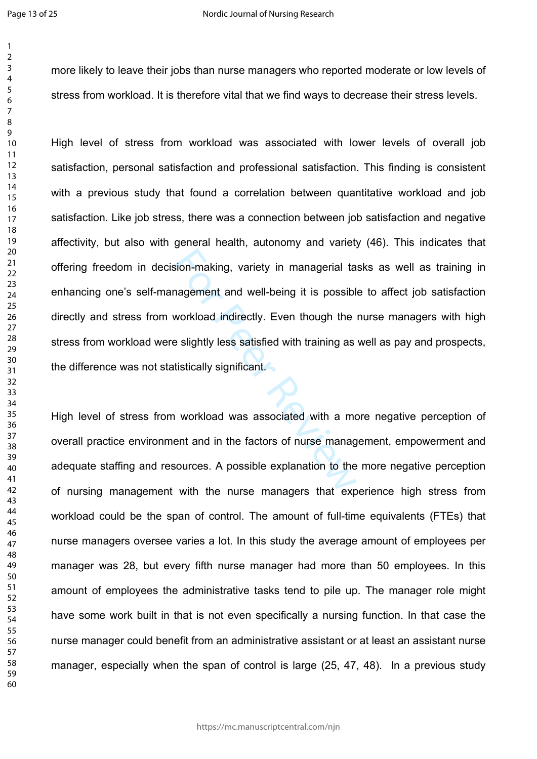$\mathbf{1}$ 

more likely to leave their jobs than nurse managers who reported moderate or low levels of stress from workload. It is therefore vital that we find ways to decrease their stress levels.

sion-making, variety in managerial ta<br>hagement and well-being it is possibl<br>workload indirectly. Even though the<br>e slightly less satisfied with training as<br>tistically significant.<br>a workload was associated with a mo<br>ent an High level of stress from workload was associated with lower levels of overall job satisfaction, personal satisfaction and professional satisfaction. This finding is consistent with a previous study that found a correlation between quantitative workload and job satisfaction. Like job stress, there was a connection between job satisfaction and negative affectivity, but also with general health, autonomy and variety (46). This indicates that offering freedom in decision-making, variety in managerial tasks as well as training in enhancing one's self-management and well-being it is possible to affect job satisfaction directly and stress from workload indirectly. Even though the nurse managers with high stress from workload were slightly less satisfied with training as well as pay and prospects, the difference was not statistically significant.

High level of stress from workload was associated with a more negative perception of overall practice environment and in the factors of nurse management, empowerment and adequate staffing and resources. A possible explanation to the more negative perception of nursing management with the nurse managers that experience high stress from workload could be the span of control. The amount of full-time equivalents (FTEs) that nurse managers oversee varies a lot. In this study the average amount of employees per manager was 28, but every fifth nurse manager had more than 50 employees. In this amount of employees the administrative tasks tend to pile up. The manager role might have some work built in that is not even specifically a nursing function. In that case the nurse manager could benefit from an administrative assistant or at least an assistant nurse manager, especially when the span of control is large (25, 47, 48). In a previous study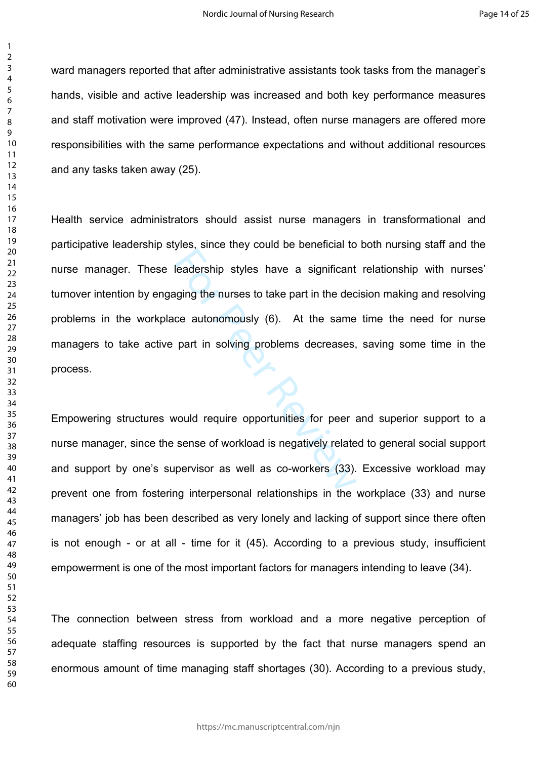ward managers reported that after administrative assistants took tasks from the manager's hands, visible and active leadership was increased and both key performance measures and staff motivation were improved (47). Instead, often nurse managers are offered more responsibilities with the same performance expectations and without additional resources and any tasks taken away (25).

leadership styles have a significant<br>aging the nurses to take part in the dec<br>ce autonomously (6). At the same<br>part in solving problems decreases,<br>would require opportunities for peer a<br>sense of workload is negatively rela Health service administrators should assist nurse managers in transformational and participative leadership styles, since they could be beneficial to both nursing staff and the nurse manager. These leadership styles have a significant relationship with nurses' turnover intention by engaging the nurses to take part in the decision making and resolving problems in the workplace autonomously (6). At the same time the need for nurse managers to take active part in solving problems decreases, saving some time in the process.

Empowering structures would require opportunities for peer and superior support to a nurse manager, since the sense of workload is negatively related to general social support and support by one's supervisor as well as co-workers (33). Excessive workload may prevent one from fostering interpersonal relationships in the workplace (33) and nurse managers' job has been described as very lonely and lacking of support since there often is not enough - or at all - time for it (45). According to a previous study, insufficient empowerment is one of the most important factors for managers intending to leave (34).

The connection between stress from workload and a more negative perception of adequate staffing resources is supported by the fact that nurse managers spend an enormous amount of time managing staff shortages (30). According to a previous study,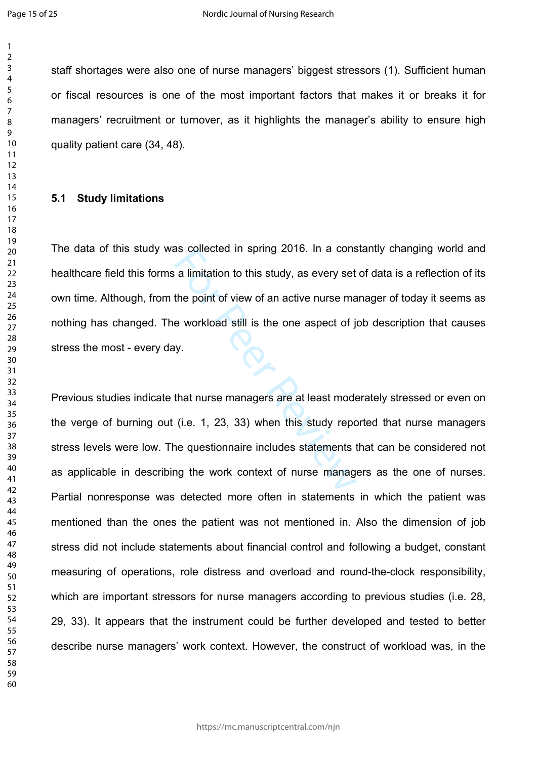$\mathbf{1}$  $\overline{2}$ 

staff shortages were also one of nurse managers' biggest stressors (1). Sufficient human or fiscal resources is one of the most important factors that makes it or breaks it for managers' recruitment or turnover, as it highlights the manager's ability to ensure high quality patient care (34, 48).

#### **5.1 Study limitations**

For Persons a limitation to this study, as every set<br>the point of view of an active nurse ma<br>e workload still is the one aspect of j<br>iy.<br>that nurse managers are at least mode<br>(i.e. 1, 23, 33) when this study repo<br>ne questi The data of this study was collected in spring 2016. In a constantly changing world and healthcare field this forms a limitation to this study, as every set of data is a reflection of its own time. Although, from the point of view of an active nurse manager of today it seems as nothing has changed. The workload still is the one aspect of job description that causes stress the most - every day.

Previous studies indicate that nurse managers are at least moderately stressed or even on the verge of burning out (i.e. 1, 23, 33) when this study reported that nurse managers stress levels were low. The questionnaire includes statements that can be considered not as applicable in describing the work context of nurse managers as the one of nurses. Partial nonresponse was detected more often in statements in which the patient was mentioned than the ones the patient was not mentioned in. Also the dimension of job stress did not include statements about financial control and following a budget, constant measuring of operations, role distress and overload and round-the-clock responsibility, which are important stressors for nurse managers according to previous studies (i.e. 28, 29, 33). It appears that the instrument could be further developed and tested to better describe nurse managers' work context. However, the construct of workload was, in the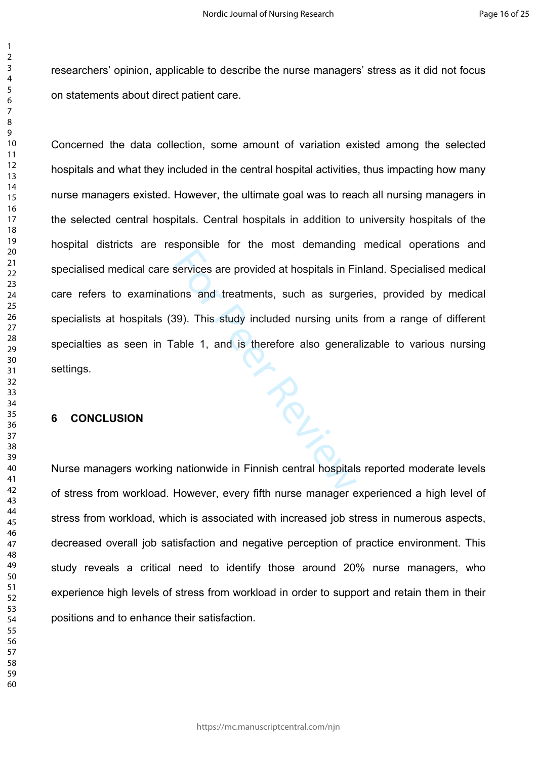researchers' opinion, applicable to describe the nurse managers' stress as it did not focus on statements about direct patient care.

 $P_{\mathcal{C}_{L_{\cdot}}}$ Concerned the data collection, some amount of variation existed among the selected hospitals and what they included in the central hospital activities, thus impacting how many nurse managers existed. However, the ultimate goal was to reach all nursing managers in the selected central hospitals. Central hospitals in addition to university hospitals of the hospital districts are responsible for the most demanding medical operations and specialised medical care services are provided at hospitals in Finland. Specialised medical care refers to examinations and treatments, such as surgeries, provided by medical specialists at hospitals (39). This study included nursing units from a range of different specialties as seen in Table 1, and is therefore also generalizable to various nursing settings.

## **6 CONCLUSION**

Nurse managers working nationwide in Finnish central hospitals reported moderate levels of stress from workload. However, every fifth nurse manager experienced a high level of stress from workload, which is associated with increased job stress in numerous aspects, decreased overall job satisfaction and negative perception of practice environment. This study reveals a critical need to identify those around 20% nurse managers, who experience high levels of stress from workload in order to support and retain them in their positions and to enhance their satisfaction.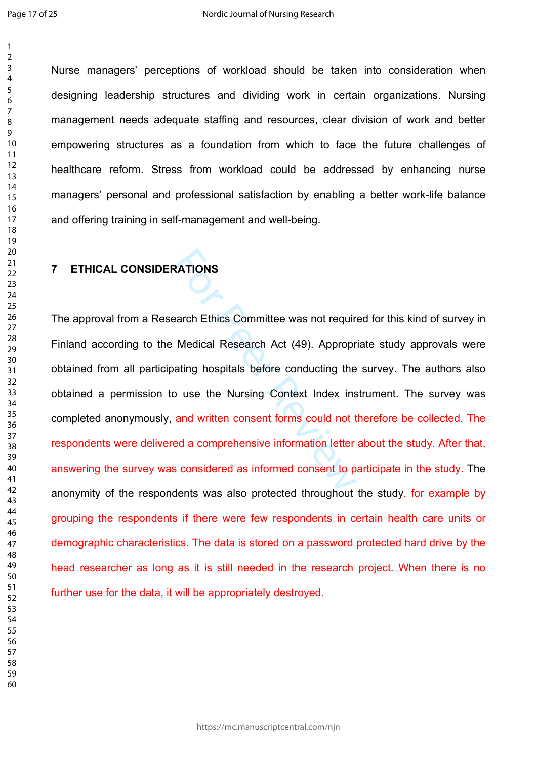$\mathbf{1}$ 

Nurse managers' perceptions of workload should be taken into consideration when designing leadership structures and dividing work in certain organizations. Nursing management needs adequate staffing and resources, clear division of work and better empowering structures as a foundation from which to face the future challenges of healthcare reform. Stress from workload could be addressed by enhancing nurse managers' personal and professional satisfaction by enabling a better work-life balance and offering training in self-management and well-being.

## **7 ETHICAL CONSIDERATIONS**

RATIONS<br>
RATIONS<br>
Medical Research Act (49). Appropr<br>
Atting hospitals before conducting the<br>
puse the Nursing Context Index ins<br>
and written consent forms could not t<br>
red a comprehensive information letter<br>
s considered The approval from a Research Ethics Committee was not required for this kind of survey in Finland according to the Medical Research Act (49). Appropriate study approvals were obtained from all participating hospitals before conducting the survey. The authors also obtained a permission to use the Nursing Context Index instrument. The survey was completed anonymously, and written consent forms could not therefore be collected. The respondents were delivered a comprehensive information letter about the study. After that, answering the survey was considered as informed consent to participate in the study. The anonymity of the respondents was also protected throughout the study, for example by grouping the respondents if there were few respondents in certain health care units or demographic characteristics. The data is stored on a password protected hard drive by the head researcher as long as it is still needed in the research project. When there is no further use for the data, it will be appropriately destroyed.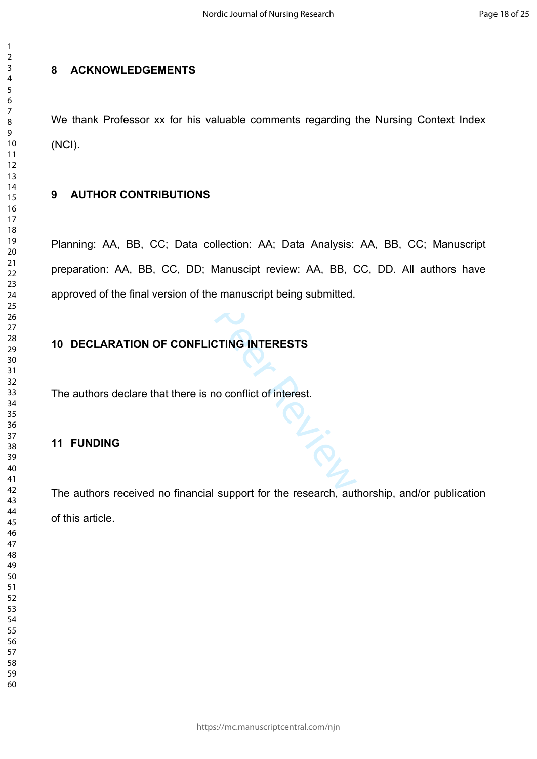## **8 ACKNOWLEDGEMENTS**

We thank Professor xx for his valuable comments regarding the Nursing Context Index (NCI).

# **9 AUTHOR CONTRIBUTIONS**

C., DD; Manuscipt review: AA, BB, C<br>
CONFLICTING INTERESTS<br>
CONFLICTING INTERESTS<br>
there is no conflict of interest. Planning: AA, BB, CC; Data collection: AA; Data Analysis: AA, BB, CC; Manuscript preparation: AA, BB, CC, DD; Manuscipt review: AA, BB, CC, DD. All authors have approved of the final version of the manuscript being submitted.

# **10 DECLARATION OF CONFLICTING INTERESTS**

The authors declare that there is no conflict of interest.

# **11 FUNDING**

The authors received no financial support for the research, authorship, and/or publication of this article.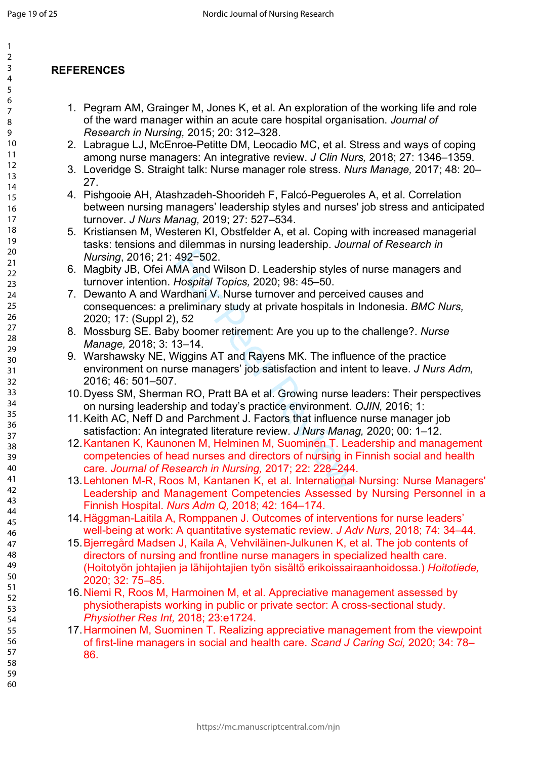$\mathbf{1}$  $\overline{2}$ 

# **REFERENCES**

- 1. Pegram AM, Grainger M, Jones K, et al. An exploration of the working life and role of the ward manager within an acute care hospital organisation. *Journal of Research in Nursing,* 2015; 20: 312–328.
- 2. Labrague LJ, McEnroe-Petitte DM, Leocadio MC, et al. Stress and ways of coping among nurse managers: An integrative review. *J Clin Nurs,* 2018; 27: 1346–1359.
- 3. Loveridge S. Straight talk: Nurse manager role stress. *Nurs Manage,* 2017; 48: 20– 27.
- 4. Pishgooie AH, Atashzadeh-Shoorideh F, Falcó-Pegueroles A, et al. Correlation between nursing managers' leadership styles and nurses' job stress and anticipated turnover. *J Nurs Manag,* 2019; 27: 527–534.
- 5. Kristiansen M, Westeren KI, Obstfelder A, et al. Coping with increased managerial tasks: tensions and dilemmas in nursing leadership. *Journal of Research in Nursing*, 2016; 21: 492−502.
- 6. Magbity JB, Ofei AMA and Wilson D. Leadership styles of nurse managers and turnover intention. *Hospital Topics,* 2020; 98: 45–50.
- 7. Dewanto A and Wardhani V. Nurse turnover and perceived causes and consequences: a preliminary study at private hospitals in Indonesia. *BMC Nurs,* 2020; 17: (Suppl 2), 52
- 8. Mossburg SE. Baby boomer retirement: Are you up to the challenge?. *Nurse Manage,* 2018; 3: 13–14.
- 492-502.<br>
MA and Wilson D. Leadership styles of<br>
Hospital Topics, 2020; 98: 45–50.<br>
Interactional V. Nurse turnover and perceive<br>
reliminary study at private hospitals in<br>
1, 52<br>
y boomer retirement: Are you up to the<br>
13– 9. Warshawsky NE, Wiggins AT and Rayens MK. The influence of the practice environment on nurse managers' job satisfaction and intent to leave. *J Nurs Adm,*  2016; 46: 501–507.
- 10.Dyess SM, Sherman RO, Pratt BA et al. Growing nurse leaders: Their perspectives on nursing leadership and today's practice environment. *OJIN,* 2016; 1:
- 11.Keith AC, Neff D and Parchment J. Factors that influence nurse manager job satisfaction: An integrated literature review. *J Nurs Manag,* 2020; 00: 1–12.
- 12.Kantanen K, Kaunonen M, Helminen M, Suominen T. Leadership and management competencies of head nurses and directors of nursing in Finnish social and health care. *Journal of Research in Nursing,* 2017; 22: 228–244.
- 13.Lehtonen M-R, Roos M, Kantanen K, et al. International Nursing: Nurse Managers' Leadership and Management Competencies Assessed by Nursing Personnel in a Finnish Hospital. *Nurs Adm Q,* 2018; 42: 164–174.
- 14.Häggman-Laitila A, Romppanen J. Outcomes of interventions for nurse leaders' well-being at work: A quantitative systematic review. *J Adv Nurs,* 2018; 74: 34–44.
- 15.Bjerregård Madsen J, Kaila A, Vehviläinen-Julkunen K, et al. The job contents of directors of nursing and frontline nurse managers in specialized health care. (Hoitotyön johtajien ja lähijohtajien työn sisältö erikoissairaanhoidossa.) *Hoitotiede,* 2020; 32: 75–85.
- 16.Niemi R, Roos M, Harmoinen M, et al. [Appreciative management assessed by](https://www-ncbi-nlm-nih-gov.helios.uta.fi/pubmed/29961973)  [physiotherapists working in public or private sector: A cross-sectional study.](https://www-ncbi-nlm-nih-gov.helios.uta.fi/pubmed/29961973) *Physiother Res Int,* 2018; 23:e1724.
- 17.Harmoinen M, Suominen T. Realizing appreciative management from the viewpoint of first-line managers in social and health care. *Scand J Caring Sci,* 2020; 34: 78– 86.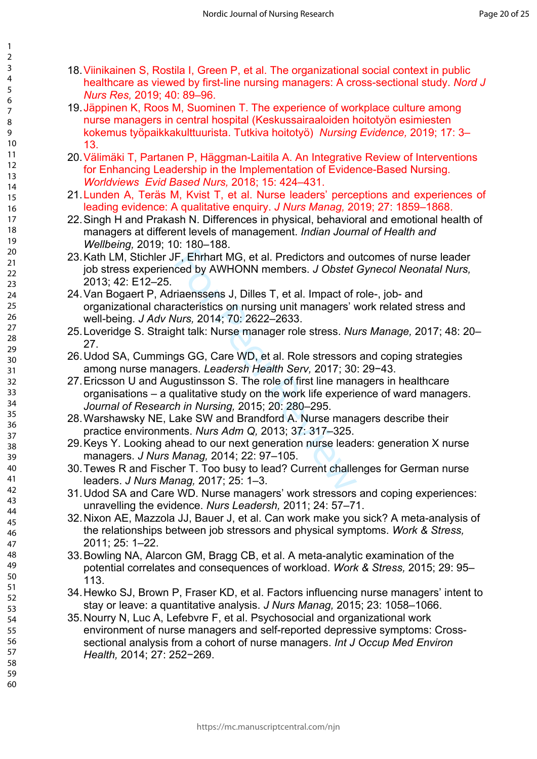- 18.Viinikainen S, Rostila I, Green P, et al. The organizational social context in public healthcare as viewed by first-line nursing managers: A cross-sectional study. *Nord J Nurs Res,* 2019; 40: 89–96.
- 19.Jäppinen K, Roos M, Suominen T. The experience of workplace culture among nurse managers in central hospital (Keskussairaaloiden hoitotyön esimiesten kokemus työpaikkakulttuurista. Tutkiva hoitotyö) *Nursing Evidence,* 2019; 17: 3– 13.
- 20.Välimäki T, Partanen P, Häggman-Laitila A. An Integrative Review of Interventions for Enhancing Leadership in the Implementation of Evidence-Based Nursing. *Worldviews Evid Based Nurs,* 2018; 15: 424–431.
- 21.Lunden A, Teräs M, Kvist T, et al. Nurse leaders' perceptions and experiences of leading evidence: A qualitative enquiry. *J Nurs Manag,* 2019; 27: 1859–1868.
- 22.Singh H and Prakash N. Differences in physical, behavioral and emotional health of managers at different levels of management. *Indian Journal of Health and Wellbeing,* 2019; 10: 180–188.
- F, Ehrhart MG, et al. Predictors and overal by AWHONN members. *J Obstet*<br>riaenssens J, Dilles T, et al. Impact of racteristics on nursing unit managers' v<br>*lurs*, 2014; 70: 2622–2633.<br>Jht talk: Nurse manager role stressor 23.Kath LM, Stichler JF, Ehrhart MG, et al. Predictors and outcomes of nurse leader job stress experienced by AWHONN members. *J Obstet Gynecol Neonatal Nurs,*  2013; 42: E12–25.
- 24.Van Bogaert P, Adriaenssens J, Dilles T, et al. Impact of role-, job- and organizational characteristics on nursing unit managers' work related stress and well-being. *J Adv Nurs,* 2014; 70: 2622–2633.
- 25.Loveridge S. Straight talk: Nurse manager role stress. *Nurs Manage,* 2017; 48: 20– 27.
- 26.Udod SA, Cummings GG, Care WD, et al. Role stressors and coping strategies among nurse managers. *Leadersh Health Serv,* 2017; 30: 29−43.
- 27.Ericsson U and Augustinsson S. The role of first line managers in healthcare organisations – a qualitative study on the work life experience of ward managers. *Journal of Research in Nursing,* 2015; 20: 280–295.
- 28.Warshawsky NE, Lake SW and Brandford A. Nurse managers describe their practice environments. *Nurs Adm Q,* 2013; 37: 317–325.
- 29.Keys Y. Looking ahead to our next generation nurse leaders: generation X nurse managers. *J Nurs Manag,* 2014; 22: 97–105.
- 30.Tewes R and Fischer T. Too busy to lead? Current challenges for German nurse leaders. *J Nurs Manag,* 2017; 25: 1–3.
- 31.Udod SA and Care WD. Nurse managers' work stressors and coping experiences: unravelling the evidence. *Nurs Leadersh,* 2011; 24: 57–71.
- 32.Nixon AE, Mazzola JJ, Bauer J, et al. Can work make you sick? A meta-analysis of the relationships between job stressors and physical symptoms. *Work & Stress,*  2011; 25: 1–22.
- 33.Bowling NA, Alarcon GM, Bragg CB, et al. A meta-analytic examination of the potential correlates and consequences of workload. *Work & Stress,* 2015; 29: 95– 113.
- 34.Hewko SJ, Brown P, Fraser KD, et al. Factors influencing nurse managers' intent to stay or leave: a quantitative analysis. *J Nurs Manag,* 2015; 23: 1058–1066.
- 35.Nourry N, Luc A, Lefebvre F, et al. Psychosocial and organizational work environment of nurse managers and self-reported depressive symptoms: Crosssectional analysis from a cohort of nurse managers. *Int J Occup Med Environ Health,* 2014; 27: 252−269.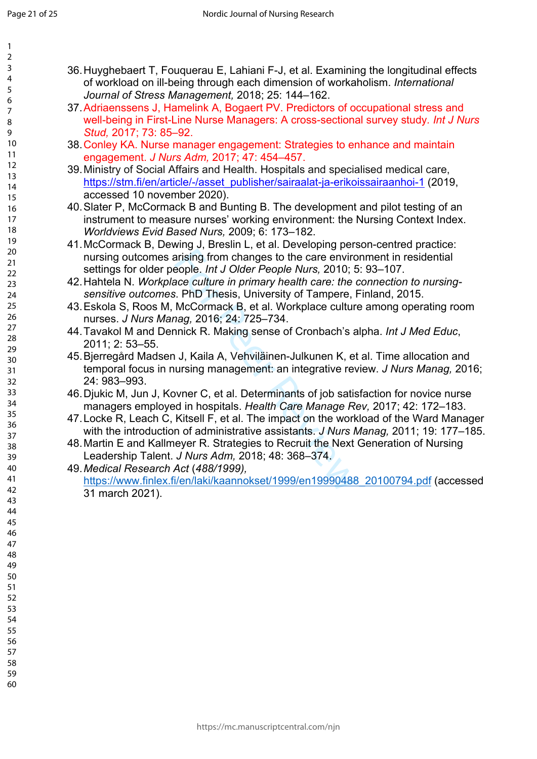| 1                                         |  |
|-------------------------------------------|--|
| ,                                         |  |
| 3                                         |  |
| 4                                         |  |
| 5                                         |  |
|                                           |  |
| 6                                         |  |
|                                           |  |
| 8                                         |  |
| )                                         |  |
| 10                                        |  |
| 1<br>$\mathbf{1}$                         |  |
| 1<br>$\overline{2}$                       |  |
|                                           |  |
| 13                                        |  |
| 1<br>4                                    |  |
| 15                                        |  |
| 16                                        |  |
| 17                                        |  |
| 18                                        |  |
|                                           |  |
| 19                                        |  |
| 20                                        |  |
| $\overline{21}$                           |  |
| $\overline{2}$<br>$\overline{ }$          |  |
| $\overline{2}$<br>3                       |  |
| $\frac{24}{3}$                            |  |
| 25                                        |  |
|                                           |  |
| $\frac{26}{5}$                            |  |
| $^{27}$                                   |  |
| $\overline{28}$                           |  |
| 29                                        |  |
| 30                                        |  |
| $\overline{\textbf{3}}$                   |  |
|                                           |  |
| $\overline{\mathbf{3}}$<br>$\overline{ }$ |  |
| $\overline{\mathbf{3}}$<br>ξ              |  |
| z,<br>4                                   |  |
| 35                                        |  |
| 36                                        |  |
|                                           |  |
| 37                                        |  |
| $\overline{\mathbf{g}}$                   |  |
| 39                                        |  |
| 40                                        |  |
| 41                                        |  |
| 42                                        |  |
| ξ<br>$\overline{4}$                       |  |
|                                           |  |
| 44                                        |  |
| 45                                        |  |
| 46                                        |  |
| 47                                        |  |
| 48                                        |  |
| 49                                        |  |
|                                           |  |
| 50                                        |  |
| 51                                        |  |
| 5.<br>$\overline{\mathcal{L}}$            |  |
| 5.<br>ξ                                   |  |
| 54                                        |  |
| 55                                        |  |
| 56                                        |  |
|                                           |  |
| 57                                        |  |
| 58                                        |  |
| 59                                        |  |

 $60$ 

36.Huyghebaert T, Fouquerau E, Lahiani F-J, et al. Examining the longitudinal effects of workload on ill-being through each dimension of workaholism. *International Journal of Stress Management,* 2018; 25: 144–162.

- 37.Adriaenssens J, Hamelink A, Bogaert PV. Predictors of occupational stress and well-being in First-Line Nurse Managers: A cross-sectional survey study*. Int J Nurs Stud,* 2017; 73: 85–92.
- 38.Conley KA. Nurse manager engagement: Strategies to enhance and maintain engagement. *J Nurs Adm,* 2017; 47: 454–457.
- 39.Ministry of Social Affairs and Health. Hospitals and specialised medical care, [https://stm.fi/en/article/-/asset\\_publisher/sairaalat-ja-erikoissairaanhoi-1](https://stm.fi/en/article/-/asset_publisher/sairaalat-ja-erikoissairaanhoi-1) (2019, accessed 10 november 2020).
- 40.Slater P, McCormack B and Bunting B. The development and pilot testing of an instrument to measure nurses' working environment: the Nursing Context Index. *Worldviews Evid Based Nurs,* 2009; 6: 173–182.
- 41.McCormack B, Dewing J, Breslin L, et al. Developing person-centred practice: nursing outcomes arising from changes to the care environment in residential settings for older people. *Int J Older People Nurs,* 2010; 5: 93–107.
- 42.Hahtela N. *Workplace culture in primary health care: the connection to nursingsensitive outcomes*. PhD Thesis, University of Tampere, Finland, 2015.
- 43.Eskola S, Roos M, McCormack B, et al. Workplace culture among operating room nurses. *J Nurs Manag,* 2016; 24: 725–734.
- 44.Tavakol M and Dennick R. Making sense of Cronbach's alpha. *Int J Med Educ*, 2011; 2: 53–55.
- arising from changes to the care envirceople. *Int J Older People Nurs*, 2010; *t*<br>ace culture in primary health care: the is . PhD Thesis, University of Tampere, I<br>McCormack B, et al. Workplace cultur<br>nag, 2016; 24: 725–7 45.Bjerregård Madsen J, Kaila A, Vehviläinen-Julkunen K, et al. Time allocation and temporal focus in nursing management: an integrative review. *J Nurs Manag,* 2016; 24: 983–993.
- 46.Djukic M, Jun J, Kovner C, et al. Determinants of job satisfaction for novice nurse managers employed in hospitals. *Health Care Manage Rev,* 2017; 42: 172–183.
- 47.Locke R, Leach C, Kitsell F, et al. The impact on the workload of the Ward Manager with the introduction of administrative assistants. *J Nurs Manag,* 2011; 19: 177–185.
- 48.Martin E and Kallmeyer R. Strategies to Recruit the Next Generation of Nursing Leadership Talent. *J Nurs Adm,* 2018; 48: 368–374.
- 49.*Medical Research Act* (*488/1999),*

[https://www.finlex.fi/en/laki/kaannokset/1999/en19990488\\_20100794.pdf](https://www.finlex.fi/en/laki/kaannokset/1999/en19990488_20100794.pdf) (accessed 31 march 2021).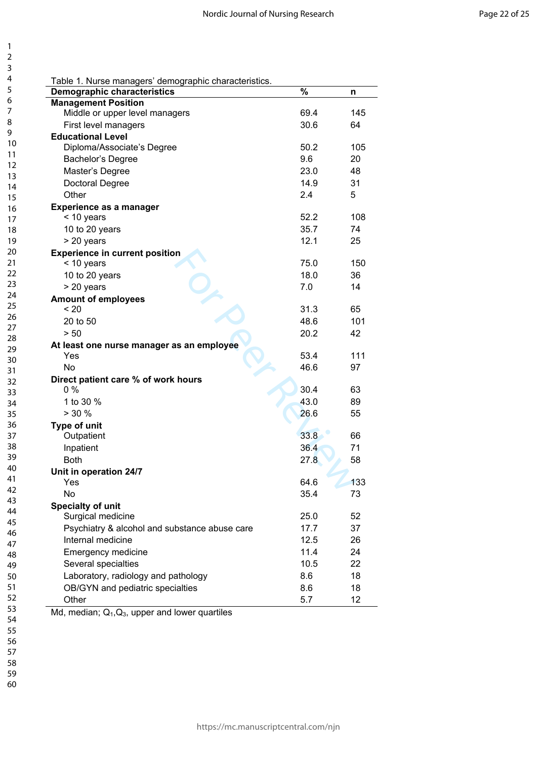| 1        |                                                                  |      |     |
|----------|------------------------------------------------------------------|------|-----|
| 2<br>3   |                                                                  |      |     |
| 4        |                                                                  |      |     |
| 5        | Table 1. Nurse managers' demographic characteristics.            | $\%$ |     |
| 6        | <b>Demographic characteristics</b><br><b>Management Position</b> |      | n   |
| 7        | Middle or upper level managers                                   | 69.4 | 145 |
| 8        | First level managers                                             | 30.6 | 64  |
| 9        | <b>Educational Level</b>                                         |      |     |
| 10       | Diploma/Associate's Degree                                       | 50.2 | 105 |
| 11       | Bachelor's Degree                                                | 9.6  | 20  |
| 12       | Master's Degree                                                  | 23.0 | 48  |
| 13       | Doctoral Degree                                                  | 14.9 | 31  |
| 14       |                                                                  | 2.4  | 5   |
| 15       | Other                                                            |      |     |
| 16       | Experience as a manager                                          | 52.2 | 108 |
| 17       | < 10 years                                                       |      |     |
| 18       | 10 to 20 years                                                   | 35.7 | 74  |
| 19       | > 20 years                                                       | 12.1 | 25  |
| 20<br>21 | <b>Experience in current position</b>                            |      |     |
| 22       | < 10 years                                                       | 75.0 | 150 |
| 23       | 10 to 20 years                                                   | 18.0 | 36  |
| 24       | > 20 years                                                       | 7.0  | 14  |
| 25       | <b>Amount of employees</b>                                       |      |     |
| 26       | ~120                                                             | 31.3 | 65  |
| 27       | 20 to 50                                                         | 48.6 | 101 |
| 28       | > 50                                                             | 20.2 | 42  |
| 29       | At least one nurse manager as an employee                        |      |     |
| 30       | Yes                                                              | 53.4 | 111 |
| 31       | <b>No</b>                                                        | 46.6 | 97  |
| 32       | Direct patient care % of work hours                              |      |     |
| 33       | $0\%$                                                            | 30.4 | 63  |
| 34       | 1 to 30 %                                                        | 43.0 | 89  |
| 35       | $> 30 \%$                                                        | 26.6 | 55  |
| 36       | <b>Type of unit</b>                                              |      |     |
| 37       | Outpatient                                                       | 33.8 | 66  |
| 38       | Inpatient                                                        | 36.4 | 71  |
| 39       | <b>Both</b>                                                      | 27.8 | 58  |
| 40<br>41 | Unit in operation 24/7                                           |      |     |
| 42       | Yes                                                              | 64.6 | 133 |
| 43       | <b>No</b>                                                        | 35.4 | 73  |
| 44       | <b>Specialty of unit</b>                                         |      |     |
| 45       | Surgical medicine                                                | 25.0 | 52  |
| 46       | Psychiatry & alcohol and substance abuse care                    | 17.7 | 37  |
| 47       | Internal medicine                                                | 12.5 | 26  |
| 48       | <b>Emergency medicine</b>                                        | 11.4 | 24  |
| 49       | Several specialties                                              | 10.5 | 22  |
| 50       | Laboratory, radiology and pathology                              | 8.6  | 18  |
| 51       | OB/GYN and pediatric specialties                                 | 8.6  | 18  |
| 52       | Other                                                            | 5.7  | 12  |
| 53       | Md, median; $Q_1, Q_3$ , upper and lower quartiles               |      |     |
| 54       |                                                                  |      |     |

 $\mathbf{1}$  $\overline{2}$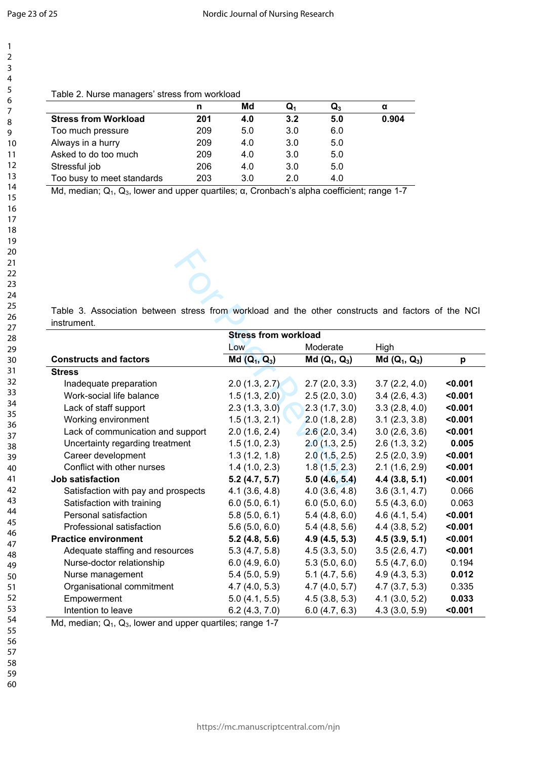123456789

 $\mathbf{1}$  $\overline{2}$  $\overline{3}$  $\overline{4}$ 5 6  $\overline{7}$ 8 9

| Table 2. Nurse managers' stress from workload |  |   |
|-----------------------------------------------|--|---|
|                                               |  | . |

|                             |     | Md  | Q,  | Q.  | α     |
|-----------------------------|-----|-----|-----|-----|-------|
| <b>Stress from Workload</b> | 201 | 4.0 | 3.2 | 5.0 | 0.904 |
| Too much pressure           | 209 | 5.0 | 3.0 | 6.0 |       |
| Always in a hurry           | 209 | 4.0 | 3.0 | 5.0 |       |
| Asked to do too much        | 209 | 4.0 | 3.0 | 5.0 |       |
| Stressful job               | 206 | 4.0 | 3.0 | 5.0 |       |
| Too busy to meet standards  | 203 | 3.0 | 2.0 | 4.0 |       |

Md, median; Q<sub>1</sub>, Q<sub>3</sub>, lower and upper quartiles; α, Cronbach's alpha coefficient; range 1-7

| Table 3. Association between stress from workload and the other constructs and factors of the NCI<br>instrument. |                             |                |                |         |
|------------------------------------------------------------------------------------------------------------------|-----------------------------|----------------|----------------|---------|
|                                                                                                                  | <b>Stress from workload</b> |                |                |         |
|                                                                                                                  | Low                         | Moderate       | High           |         |
| <b>Constructs and factors</b>                                                                                    | $Md(Q_1, Q_3)$              | $Md(Q_1, Q_3)$ | $Md(Q_1, Q_3)$ | p       |
| <b>Stress</b>                                                                                                    |                             |                |                |         |
| Inadequate preparation                                                                                           | 2.0(1.3, 2.7)               | 2.7(2.0, 3.3)  | 3.7(2.2, 4.0)  | < 0.001 |
| Work-social life balance                                                                                         | 1.5(1.3, 2.0)               | 2.5(2.0, 3.0)  | 3.4(2.6, 4.3)  | < 0.001 |
| Lack of staff support                                                                                            | 2.3(1.3, 3.0)               | 2.3(1.7, 3.0)  | 3.3(2.8, 4.0)  | < 0.001 |
| Working environment                                                                                              | 1.5(1.3, 2.1)               | 2.0(1.8, 2.8)  | 3.1(2.3, 3.8)  | < 0.001 |
| Lack of communication and support                                                                                | 2.0(1.6, 2.4)               | 2.6(2.0, 3.4)  | 3.0(2.6, 3.6)  | < 0.001 |
| Uncertainty regarding treatment                                                                                  | 1.5(1.0, 2.3)               | 2.0(1.3, 2.5)  | 2.6(1.3, 3.2)  | 0.005   |
| Career development                                                                                               | 1.3(1.2, 1.8)               | 2.0(1.5, 2.5)  | 2.5(2.0, 3.9)  | < 0.001 |
| Conflict with other nurses                                                                                       | 1.4(1.0, 2.3)               | 1.8(1.5, 2.3)  | 2.1(1.6, 2.9)  | < 0.001 |
| <b>Job satisfaction</b>                                                                                          | 5.2(4.7, 5.7)               | 5.0(4.6, 5.4)  | 4.4(3.8, 5.1)  | < 0.001 |
| Satisfaction with pay and prospects                                                                              | 4.1(3.6, 4.8)               | 4.0(3.6, 4.8)  | 3.6(3.1, 4.7)  | 0.066   |
| Satisfaction with training                                                                                       | 6.0(5.0, 6.1)               | 6.0(5.0, 6.0)  | 5.5(4.3, 6.0)  | 0.063   |
| Personal satisfaction                                                                                            | 5.8(5.0, 6.1)               | 5.4(4.8, 6.0)  | 4.6(4.1, 5.4)  | < 0.001 |
| Professional satisfaction                                                                                        | 5.6(5.0, 6.0)               | 5.4(4.8, 5.6)  | 4.4(3.8, 5.2)  | $0.001$ |
| <b>Practice environment</b>                                                                                      | 5.2(4.8, 5.6)               | 4.9(4.5, 5.3)  | 4.5(3.9, 5.1)  | < 0.001 |
| Adequate staffing and resources                                                                                  | 5.3(4.7, 5.8)               | 4.5(3.3, 5.0)  | 3.5(2.6, 4.7)  | < 0.001 |
| Nurse-doctor relationship                                                                                        | 6.0(4.9, 6.0)               | 5.3(5.0, 6.0)  | 5.5(4.7, 6.0)  | 0.194   |
| Nurse management                                                                                                 | 5.4(5.0, 5.9)               | 5.1(4.7, 5.6)  | 4.9(4.3, 5.3)  | 0.012   |
| Organisational commitment                                                                                        | 4.7(4.0, 5.3)               | 4.7(4.0, 5.7)  | 4.7(3.7, 5.3)  | 0.335   |
| Empowerment                                                                                                      | 5.0(4.1, 5.5)               | 4.5(3.8, 5.3)  | 4.1(3.0, 5.2)  | 0.033   |
| Intention to leave                                                                                               | 6.2(4.3, 7.0)               | 6.0(4.7, 6.3)  | 4.3(3.0, 5.9)  | < 0.001 |

Md, median;  $Q_1$ ,  $Q_3$ , lower and upper quartiles; range 1-7

- 56 57
- 58 59
- 60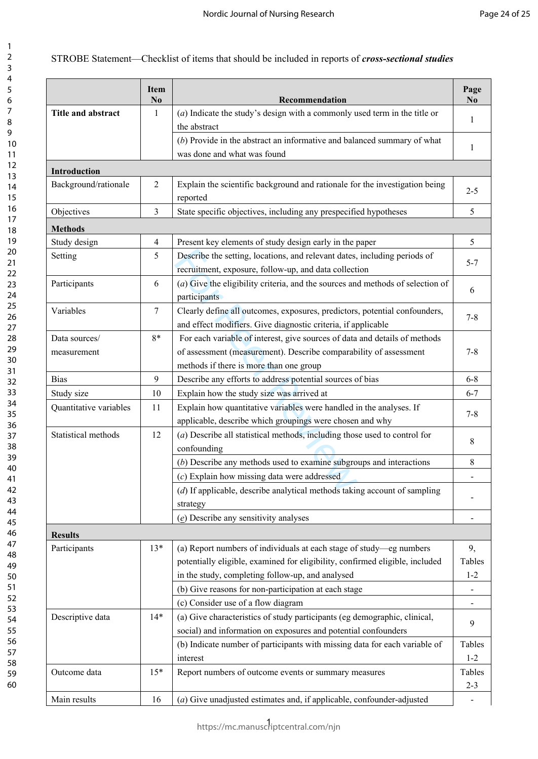## STROBE Statement—Checklist of items that should be included in reports of *cross-sectional studies*

|                        | <b>Item</b><br>N <sub>0</sub> | Recommendation                                                                          | Page<br>N <sub>0</sub> |
|------------------------|-------------------------------|-----------------------------------------------------------------------------------------|------------------------|
| Title and abstract     | 1                             | $(a)$ Indicate the study's design with a commonly used term in the title or             | 1                      |
|                        |                               | the abstract                                                                            |                        |
|                        |                               | $(b)$ Provide in the abstract an informative and balanced summary of what               | 1                      |
|                        |                               | was done and what was found                                                             |                        |
| <b>Introduction</b>    |                               |                                                                                         |                        |
| Background/rationale   | 2                             | Explain the scientific background and rationale for the investigation being<br>reported | $2 - 5$                |
| Objectives             | 3                             | State specific objectives, including any prespecified hypotheses                        | 5                      |
| <b>Methods</b>         |                               |                                                                                         |                        |
| Study design           | $\overline{4}$                | Present key elements of study design early in the paper                                 | 5                      |
| Setting                | 5                             | Describe the setting, locations, and relevant dates, including periods of               |                        |
|                        |                               | recruitment, exposure, follow-up, and data collection                                   | $5 - 7$                |
| Participants           | 6                             | $(a)$ Give the eligibility criteria, and the sources and methods of selection of        |                        |
|                        |                               | participants                                                                            | 6                      |
| Variables              | $\tau$                        | Clearly define all outcomes, exposures, predictors, potential confounders,              |                        |
|                        |                               | and effect modifiers. Give diagnostic criteria, if applicable                           | $7 - 8$                |
| Data sources/          | $8*$                          | For each variable of interest, give sources of data and details of methods              |                        |
| measurement            |                               | of assessment (measurement). Describe comparability of assessment                       | $7 - 8$                |
|                        |                               | methods if there is more than one group                                                 |                        |
| <b>Bias</b>            | 9                             | Describe any efforts to address potential sources of bias                               | $6 - 8$                |
| Study size             | 10                            | Explain how the study size was arrived at                                               | $6 - 7$                |
| Quantitative variables | 11                            | Explain how quantitative variables were handled in the analyses. If                     |                        |
|                        |                               | applicable, describe which groupings were chosen and why                                | $7 - 8$                |
| Statistical methods    | 12                            | $(a)$ Describe all statistical methods, including those used to control for             |                        |
|                        |                               | confounding                                                                             | 8                      |
|                        |                               | $(b)$ Describe any methods used to examine subgroups and interactions                   | 8                      |
|                        |                               | $(c)$ Explain how missing data were addressed                                           |                        |
|                        |                               | $(d)$ If applicable, describe analytical methods taking account of sampling             |                        |
|                        |                               | strategy                                                                                |                        |
|                        |                               | $(e)$ Describe any sensitivity analyses                                                 |                        |
| <b>Results</b>         |                               |                                                                                         |                        |
| Participants           | $13*$                         | (a) Report numbers of individuals at each stage of study-eg numbers                     | 9,                     |
|                        |                               | potentially eligible, examined for eligibility, confirmed eligible, included            | Tables                 |
|                        |                               | in the study, completing follow-up, and analysed                                        | $1 - 2$                |
|                        |                               | (b) Give reasons for non-participation at each stage                                    |                        |
|                        |                               | (c) Consider use of a flow diagram                                                      |                        |
| Descriptive data       | $14*$                         | (a) Give characteristics of study participants (eg demographic, clinical,               |                        |
|                        |                               | social) and information on exposures and potential confounders                          | 9                      |
|                        |                               | (b) Indicate number of participants with missing data for each variable of              | Tables                 |
|                        |                               | interest                                                                                | $1 - 2$                |
| Outcome data           | $15*$                         | Report numbers of outcome events or summary measures                                    | Tables                 |
|                        |                               |                                                                                         | $2 - 3$                |
| Main results           | 16                            | $(a)$ Give unadjusted estimates and, if applicable, confounder-adjusted                 |                        |

1 https://mc.manuscriptcentral.com/njn